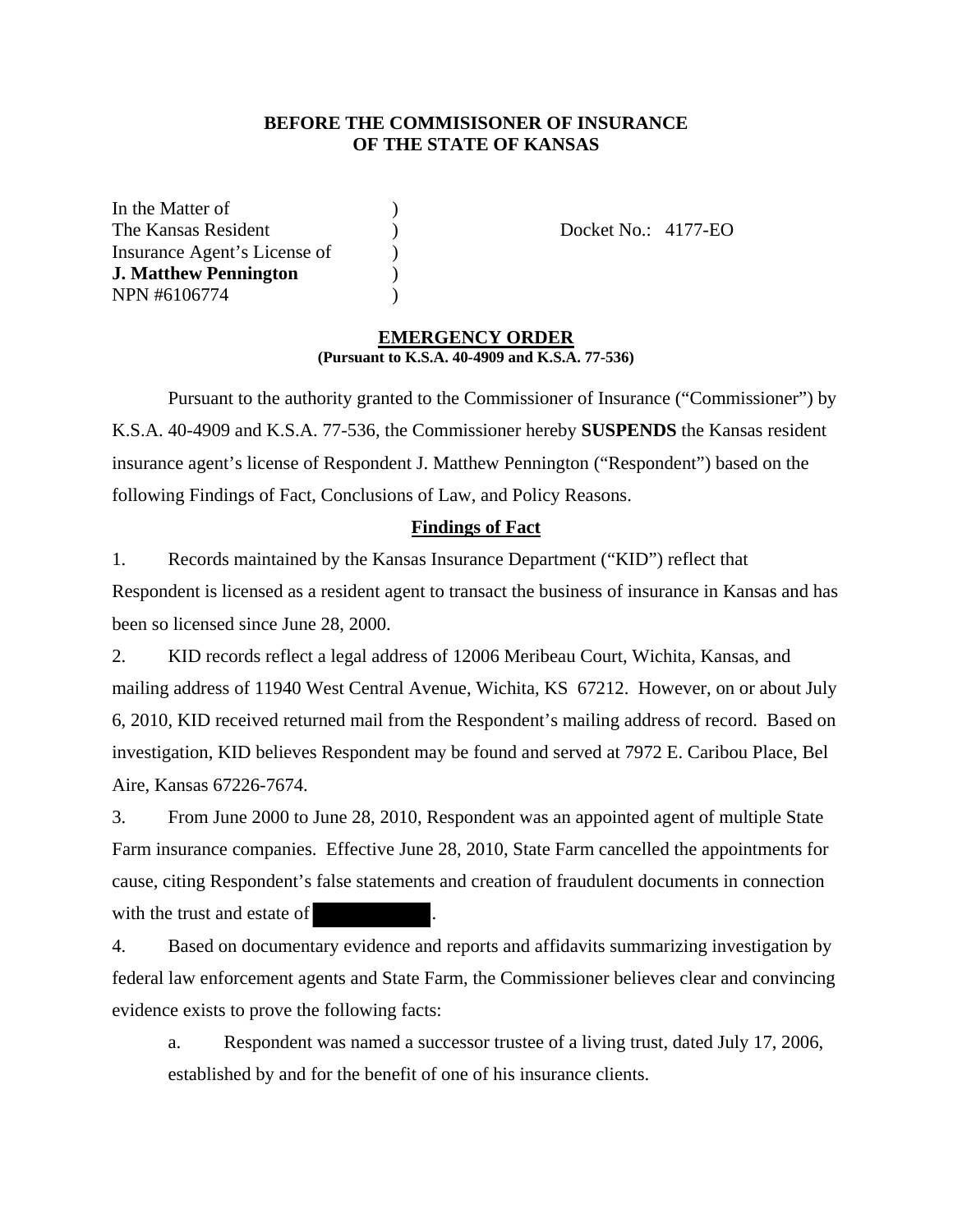## **BEFORE THE COMMISISONER OF INSURANCE OF THE STATE OF KANSAS**

In the Matter of (1) The Kansas Resident (a) (b) Docket No.: 4177-EO Insurance Agent's License of) **J. Matthew Pennington** ) NPN #6106774 )

## **EMERGENCY ORDER (Pursuant to K.S.A. 40-4909 and K.S.A. 77-536)**

 Pursuant to the authority granted to the Commissioner of Insurance ("Commissioner") by K.S.A. 40-4909 and K.S.A. 77-536, the Commissioner hereby **SUSPENDS** the Kansas resident insurance agent's license of Respondent J. Matthew Pennington ("Respondent") based on the following Findings of Fact, Conclusions of Law, and Policy Reasons.

## **Findings of Fact**

1. Records maintained by the Kansas Insurance Department ("KID") reflect that Respondent is licensed as a resident agent to transact the business of insurance in Kansas and has been so licensed since June 28, 2000.

2. KID records reflect a legal address of 12006 Meribeau Court, Wichita, Kansas, and mailing address of 11940 West Central Avenue, Wichita, KS 67212. However, on or about July 6, 2010, KID received returned mail from the Respondent's mailing address of record. Based on investigation, KID believes Respondent may be found and served at 7972 E. Caribou Place, Bel Aire, Kansas 67226-7674.

3. From June 2000 to June 28, 2010, Respondent was an appointed agent of multiple State Farm insurance companies. Effective June 28, 2010, State Farm cancelled the appointments for cause, citing Respondent's false statements and creation of fraudulent documents in connection with the trust and estate of

4. Based on documentary evidence and reports and affidavits summarizing investigation by federal law enforcement agents and State Farm, the Commissioner believes clear and convincing evidence exists to prove the following facts:

a. Respondent was named a successor trustee of a living trust, dated July 17, 2006, established by and for the benefit of one of his insurance clients.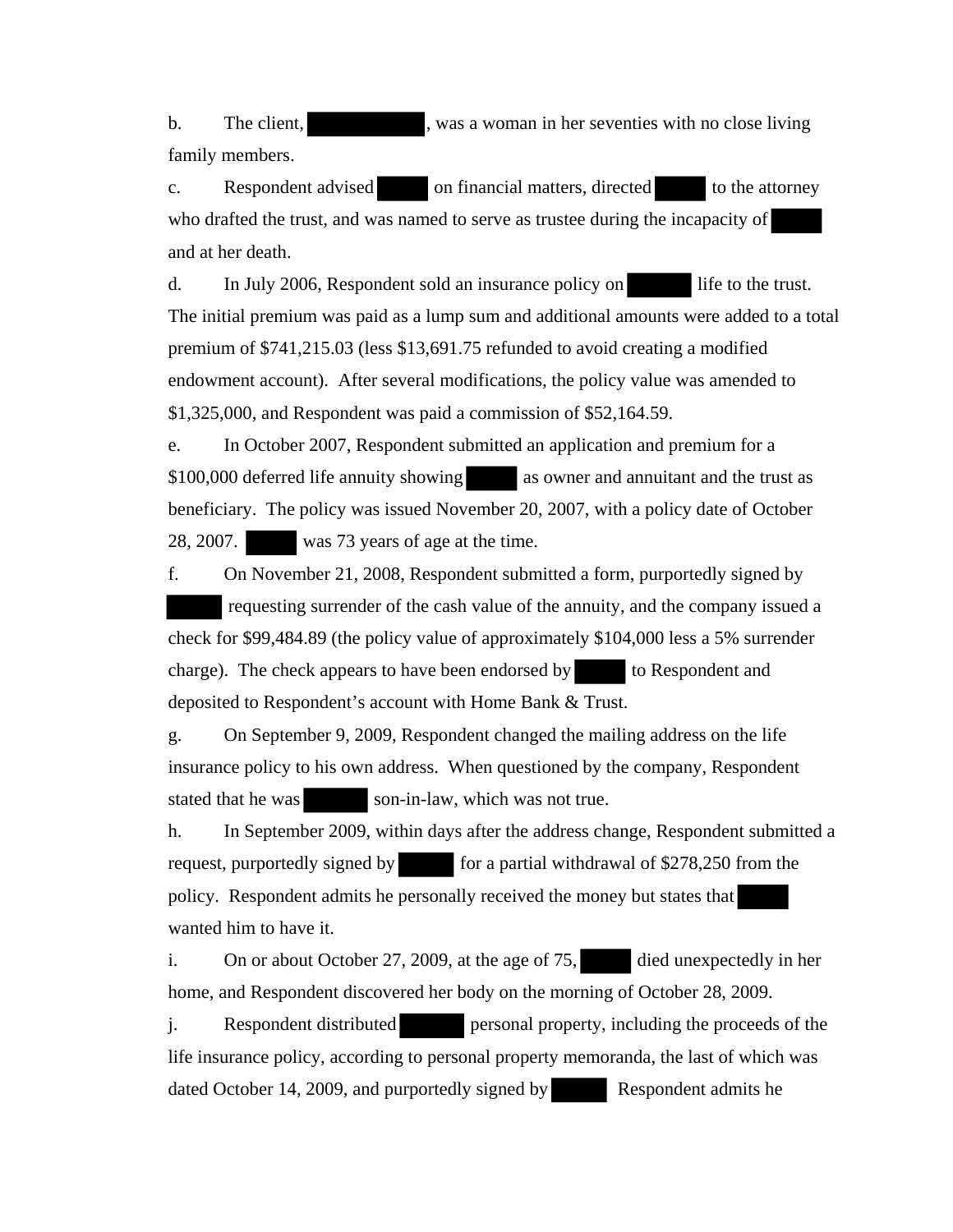b. The client, was a woman in her seventies with no close living family members.

c. Respondent advised on financial matters, directed to the attorney who drafted the trust, and was named to serve as trustee during the incapacity of and at her death.

d. In July 2006, Respondent sold an insurance policy on life to the trust. The initial premium was paid as a lump sum and additional amounts were added to a total premium of \$741,215.03 (less \$13,691.75 refunded to avoid creating a modified endowment account). After several modifications, the policy value was amended to \$1,325,000, and Respondent was paid a commission of \$52,164.59.

e. In October 2007, Respondent submitted an application and premium for a \$100,000 deferred life annuity showing as owner and annuitant and the trust as beneficiary. The policy was issued November 20, 2007, with a policy date of October 28, 2007. was 73 years of age at the time.

f. On November 21, 2008, Respondent submitted a form, purportedly signed by requesting surrender of the cash value of the annuity, and the company issued a check for \$99,484.89 (the policy value of approximately \$104,000 less a 5% surrender charge). The check appears to have been endorsed by to Respondent and deposited to Respondent's account with Home Bank & Trust.

g. On September 9, 2009, Respondent changed the mailing address on the life insurance policy to his own address. When questioned by the company, Respondent stated that he was son-in-law, which was not true.

h. In September 2009, within days after the address change, Respondent submitted a request, purportedly signed by for a partial withdrawal of \$278,250 from the policy. Respondent admits he personally received the money but states that wanted him to have it.

i. On or about October 27, 2009, at the age of 75, died unexpectedly in her home, and Respondent discovered her body on the morning of October 28, 2009.

j. Respondent distributed personal property, including the proceeds of the life insurance policy, according to personal property memoranda, the last of which was dated October 14, 2009, and purportedly signed by Respondent admits he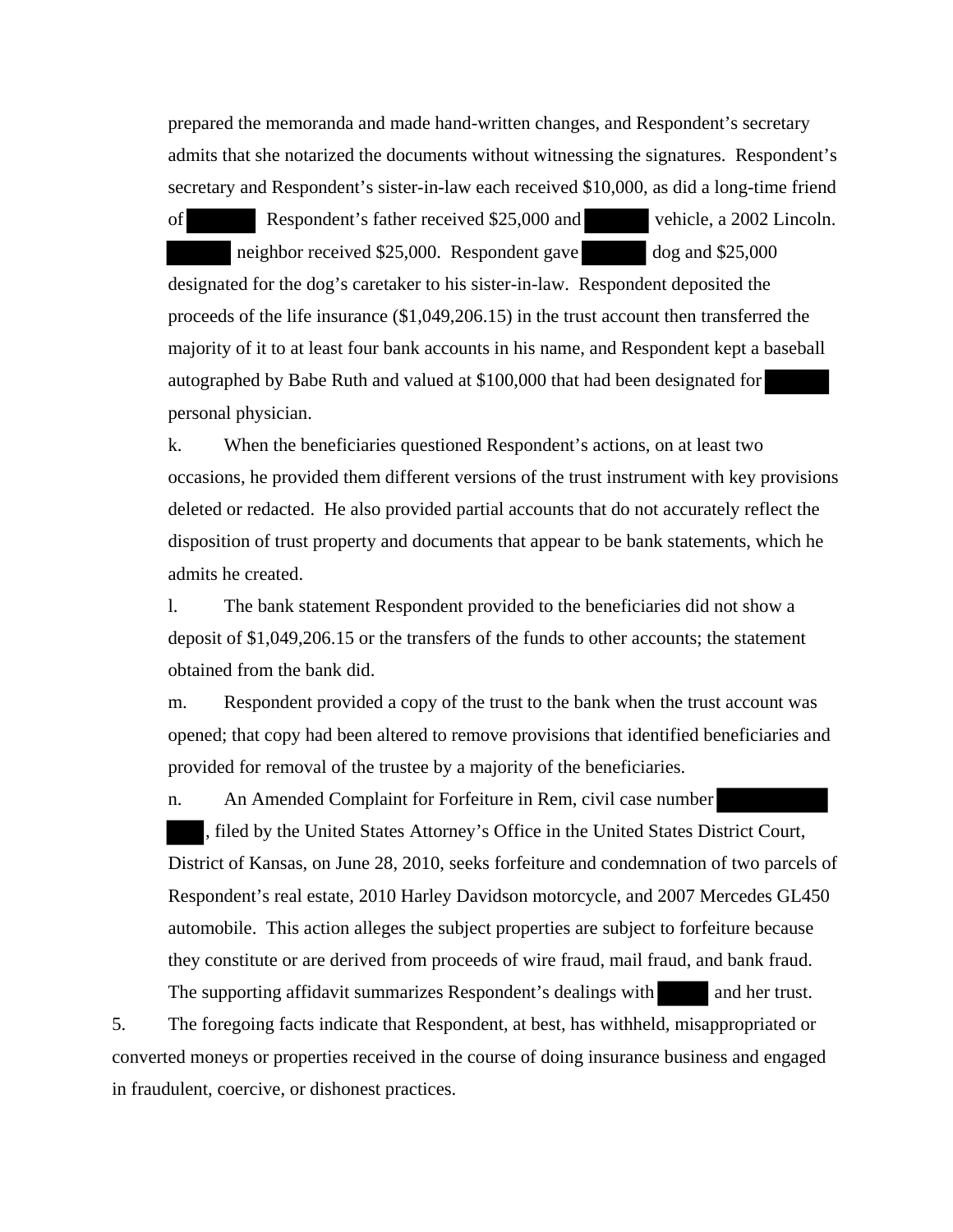prepared the memoranda and made hand-written changes, and Respondent's secretary admits that she notarized the documents without witnessing the signatures. Respondent's secretary and Respondent's sister-in-law each received \$10,000, as did a long-time friend

of Respondent's father received \$25,000 and vehicle, a 2002 Lincoln. neighbor received \$25,000. Respondent gave dog and \$25,000 designated for the dog's caretaker to his sister-in-law. Respondent deposited the proceeds of the life insurance (\$1,049,206.15) in the trust account then transferred the majority of it to at least four bank accounts in his name, and Respondent kept a baseball autographed by Babe Ruth and valued at \$100,000 that had been designated for personal physician.

k. When the beneficiaries questioned Respondent's actions, on at least two occasions, he provided them different versions of the trust instrument with key provisions deleted or redacted. He also provided partial accounts that do not accurately reflect the disposition of trust property and documents that appear to be bank statements, which he admits he created.

l. The bank statement Respondent provided to the beneficiaries did not show a deposit of \$1,049,206.15 or the transfers of the funds to other accounts; the statement obtained from the bank did.

m. Respondent provided a copy of the trust to the bank when the trust account was opened; that copy had been altered to remove provisions that identified beneficiaries and provided for removal of the trustee by a majority of the beneficiaries.

n. An Amended Complaint for Forfeiture in Rem, civil case number , filed by the United States Attorney's Office in the United States District Court, District of Kansas, on June 28, 2010, seeks forfeiture and condemnation of two parcels of Respondent's real estate, 2010 Harley Davidson motorcycle, and 2007 Mercedes GL450 automobile. This action alleges the subject properties are subject to forfeiture because they constitute or are derived from proceeds of wire fraud, mail fraud, and bank fraud. The supporting affidavit summarizes Respondent's dealings with and her trust.

5. The foregoing facts indicate that Respondent, at best, has withheld, misappropriated or converted moneys or properties received in the course of doing insurance business and engaged in fraudulent, coercive, or dishonest practices.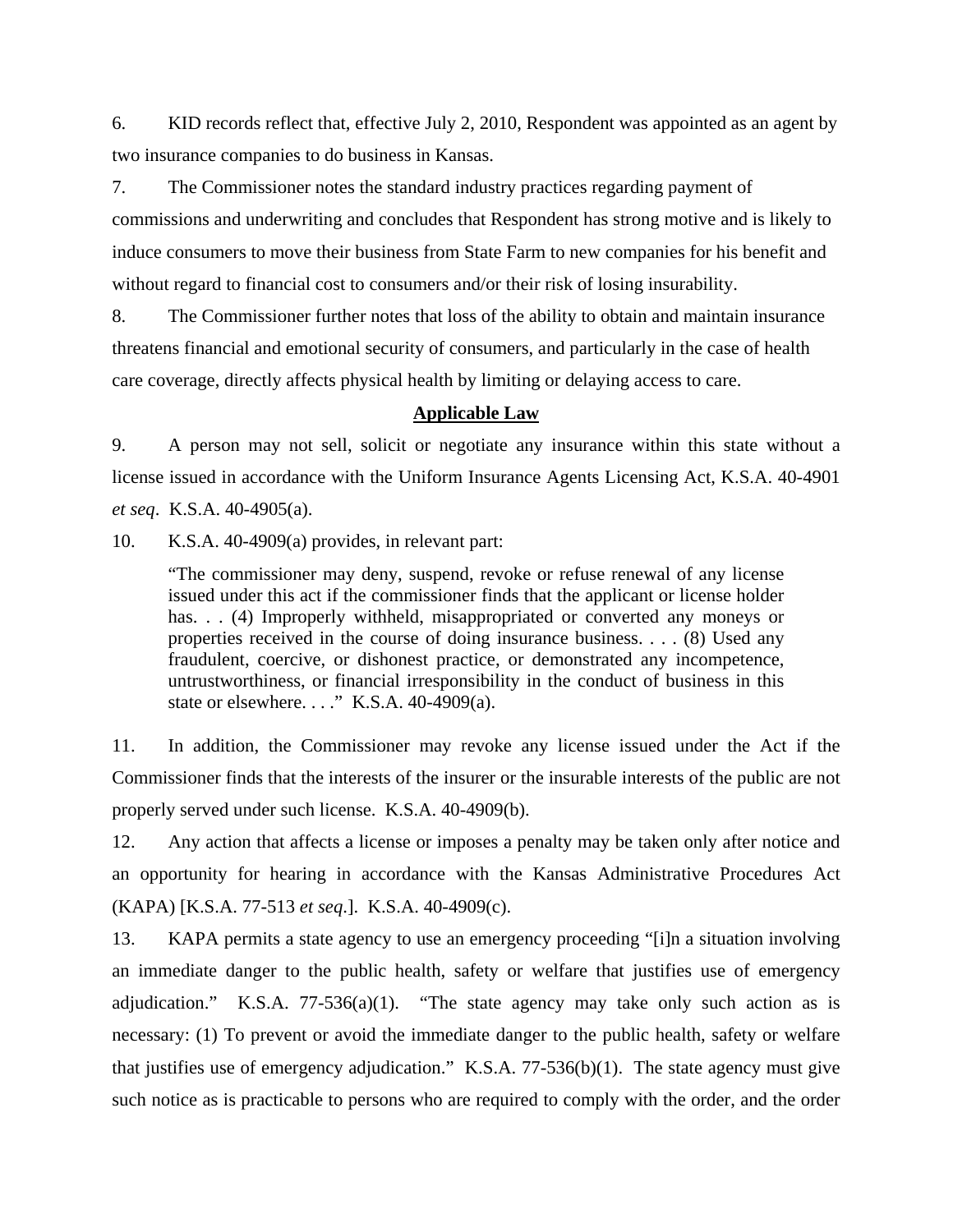6. KID records reflect that, effective July 2, 2010, Respondent was appointed as an agent by two insurance companies to do business in Kansas.

7. The Commissioner notes the standard industry practices regarding payment of commissions and underwriting and concludes that Respondent has strong motive and is likely to induce consumers to move their business from State Farm to new companies for his benefit and without regard to financial cost to consumers and/or their risk of losing insurability.

8. The Commissioner further notes that loss of the ability to obtain and maintain insurance threatens financial and emotional security of consumers, and particularly in the case of health care coverage, directly affects physical health by limiting or delaying access to care.

### **Applicable Law**

9. A person may not sell, solicit or negotiate any insurance within this state without a license issued in accordance with the Uniform Insurance Agents Licensing Act, K.S.A. 40-4901 *et seq*. K.S.A. 40-4905(a).

10. K.S.A. 40-4909(a) provides, in relevant part:

"The commissioner may deny, suspend, revoke or refuse renewal of any license issued under this act if the commissioner finds that the applicant or license holder has. . . (4) Improperly withheld, misappropriated or converted any moneys or properties received in the course of doing insurance business. . . . (8) Used any fraudulent, coercive, or dishonest practice, or demonstrated any incompetence, untrustworthiness, or financial irresponsibility in the conduct of business in this state or elsewhere. . . ." K.S.A. 40-4909(a).

11. In addition, the Commissioner may revoke any license issued under the Act if the Commissioner finds that the interests of the insurer or the insurable interests of the public are not properly served under such license. K.S.A. 40-4909(b).

12. Any action that affects a license or imposes a penalty may be taken only after notice and an opportunity for hearing in accordance with the Kansas Administrative Procedures Act (KAPA) [K.S.A. 77-513 *et seq*.]. K.S.A. 40-4909(c).

13. KAPA permits a state agency to use an emergency proceeding "[i]n a situation involving an immediate danger to the public health, safety or welfare that justifies use of emergency adjudication." K.S.A. 77-536(a)(1). "The state agency may take only such action as is necessary: (1) To prevent or avoid the immediate danger to the public health, safety or welfare that justifies use of emergency adjudication." K.S.A. 77-536(b)(1). The state agency must give such notice as is practicable to persons who are required to comply with the order, and the order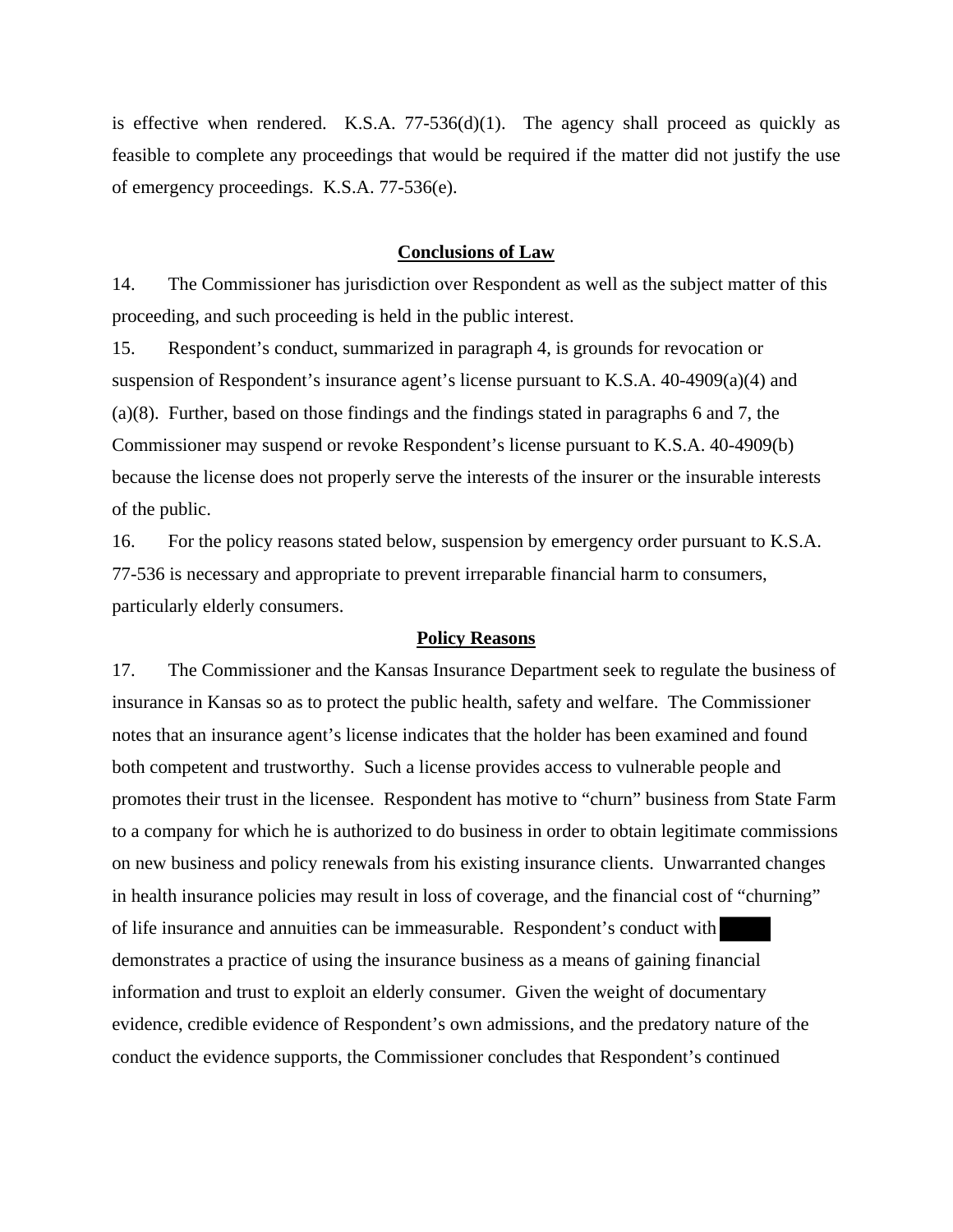is effective when rendered. K.S.A.  $77-536(d)(1)$ . The agency shall proceed as quickly as feasible to complete any proceedings that would be required if the matter did not justify the use of emergency proceedings. K.S.A. 77-536(e).

### **Conclusions of Law**

14. The Commissioner has jurisdiction over Respondent as well as the subject matter of this proceeding, and such proceeding is held in the public interest.

15. Respondent's conduct, summarized in paragraph 4, is grounds for revocation or suspension of Respondent's insurance agent's license pursuant to K.S.A. 40-4909(a)(4) and (a)(8). Further, based on those findings and the findings stated in paragraphs 6 and 7, the Commissioner may suspend or revoke Respondent's license pursuant to K.S.A. 40-4909(b) because the license does not properly serve the interests of the insurer or the insurable interests of the public.

16. For the policy reasons stated below, suspension by emergency order pursuant to K.S.A. 77-536 is necessary and appropriate to prevent irreparable financial harm to consumers, particularly elderly consumers.

#### **Policy Reasons**

17. The Commissioner and the Kansas Insurance Department seek to regulate the business of insurance in Kansas so as to protect the public health, safety and welfare. The Commissioner notes that an insurance agent's license indicates that the holder has been examined and found both competent and trustworthy. Such a license provides access to vulnerable people and promotes their trust in the licensee. Respondent has motive to "churn" business from State Farm to a company for which he is authorized to do business in order to obtain legitimate commissions on new business and policy renewals from his existing insurance clients. Unwarranted changes in health insurance policies may result in loss of coverage, and the financial cost of "churning" of life insurance and annuities can be immeasurable. Respondent's conduct with demonstrates a practice of using the insurance business as a means of gaining financial information and trust to exploit an elderly consumer. Given the weight of documentary evidence, credible evidence of Respondent's own admissions, and the predatory nature of the conduct the evidence supports, the Commissioner concludes that Respondent's continued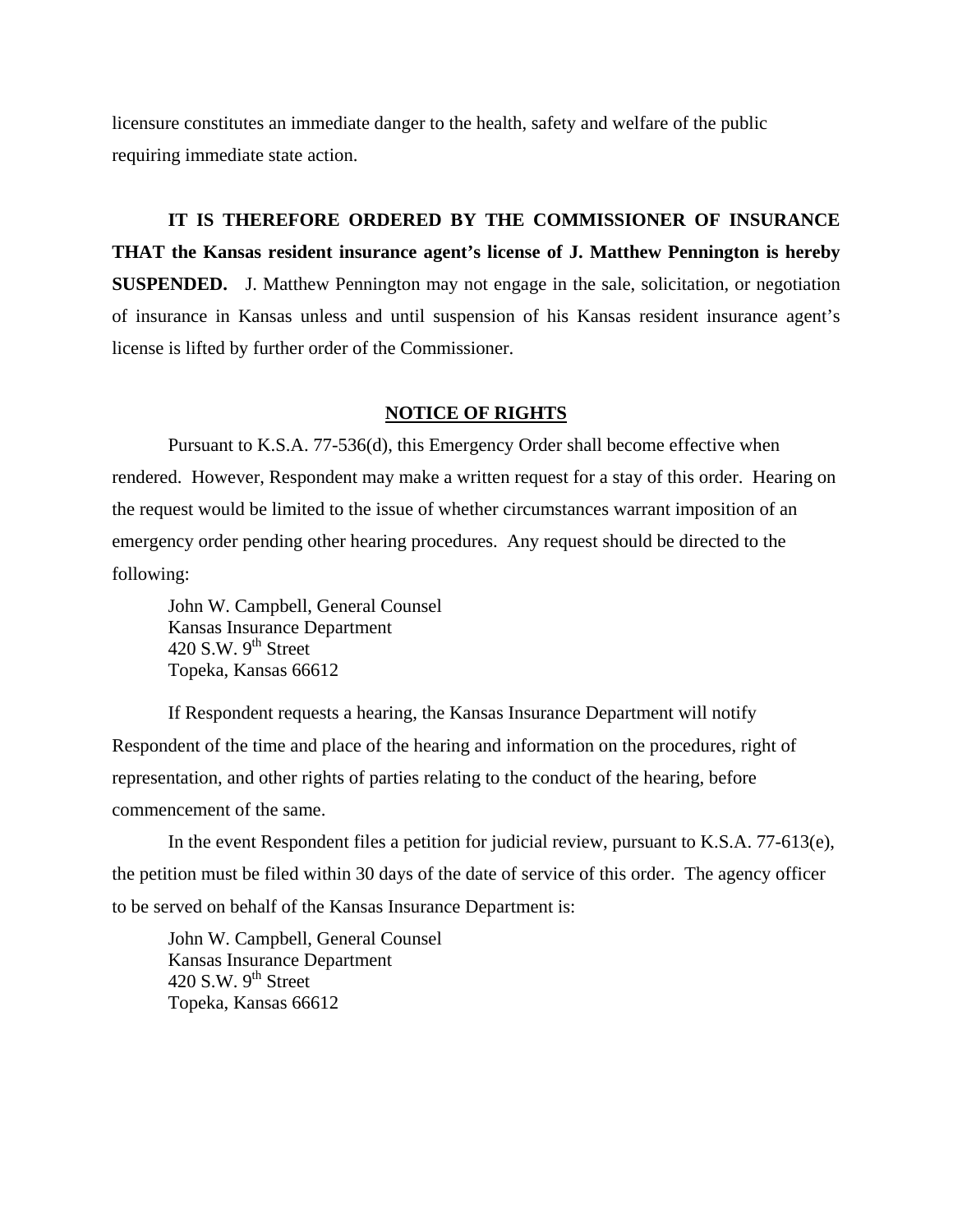licensure constitutes an immediate danger to the health, safety and welfare of the public requiring immediate state action.

# **IT IS THEREFORE ORDERED BY THE COMMISSIONER OF INSURANCE THAT the Kansas resident insurance agent's license of J. Matthew Pennington is hereby**

**SUSPENDED.** J. Matthew Pennington may not engage in the sale, solicitation, or negotiation of insurance in Kansas unless and until suspension of his Kansas resident insurance agent's license is lifted by further order of the Commissioner.

### **NOTICE OF RIGHTS**

Pursuant to K.S.A. 77-536(d), this Emergency Order shall become effective when rendered. However, Respondent may make a written request for a stay of this order. Hearing on the request would be limited to the issue of whether circumstances warrant imposition of an emergency order pending other hearing procedures. Any request should be directed to the following:

 John W. Campbell, General Counsel Kansas Insurance Department 420 S.W.  $9<sup>th</sup>$  Street Topeka, Kansas 66612

If Respondent requests a hearing, the Kansas Insurance Department will notify Respondent of the time and place of the hearing and information on the procedures, right of representation, and other rights of parties relating to the conduct of the hearing, before commencement of the same.

In the event Respondent files a petition for judicial review, pursuant to K.S.A. 77-613(e), the petition must be filed within 30 days of the date of service of this order. The agency officer to be served on behalf of the Kansas Insurance Department is:

 John W. Campbell, General Counsel Kansas Insurance Department 420 S.W.  $9<sup>th</sup>$  Street Topeka, Kansas 66612